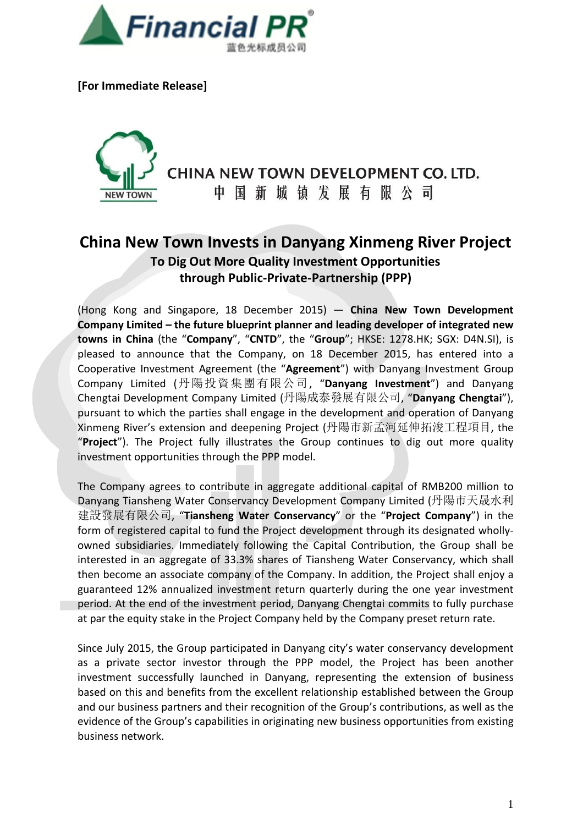

**[For Immediate Release]**



CHINA NEW TOWN DEVELOPMENT CO. LTD.

中国新城镇发展有限公司

## **China New Town Invests in Danyang Xinmeng River Project To Dig Out More Quality Investment Opportunities through Public-Private-Partnership (PPP)**

(Hong Kong and Singapore, 18 December 2015) ― **China New Town Development Company Limited – the future blueprint planner and leading developer of integrated new towns in China** (the "**Company**", "**CNTD**", the "**Group**"; HKSE: 1278.HK; SGX: D4N.SI), is pleased to announce that the Company, on 18 December 2015, has entered into a Cooperative Investment Agreement (the "**Agreement**") with Danyang Investment Group Company Limited (丹陽投資集團有限公司, "**Danyang Investment**") and Danyang Chengtai Development Company Limited (丹陽成泰發展有限公司, "**Danyang Chengtai**"), pursuant to which the parties shall engage in the development and operation of Danyang Xinmeng River's extension and deepening Project (丹陽市新孟河延伸拓浚工程項目, the "**Project**"). The Project fully illustrates the Group continues to dig out more quality investment opportunities through the PPP model.

The Company agrees to contribute in aggregate additional capital of RMB200 million to Danyang Tiansheng Water Conservancy Development Company Limited (丹陽市天晟水利 建設發展有限公司, "**Tiansheng Water Conservancy**" or the "**Project Company**") in the form of registered capital to fund the Project development through its designated whollyowned subsidiaries. Immediately following the Capital Contribution, the Group shall be interested in an aggregate of 33.3% shares of Tiansheng Water Conservancy, which shall then become an associate company of the Company. In addition, the Project shall enjoy a guaranteed 12% annualized investment return quarterly during the one year investment period. At the end of the investment period, Danyang Chengtai commits to fully purchase at par the equity stake in the Project Company held by the Company preset return rate.

Since July 2015, the Group participated in Danyang city's water conservancy development as a private sector investor through the PPP model, the Project has been another investment successfully launched in Danyang, representing the extension of business based on this and benefits from the excellent relationship established between the Group and our business partners and their recognition of the Group's contributions, as well as the evidence of the Group's capabilities in originating new business opportunities from existing business network.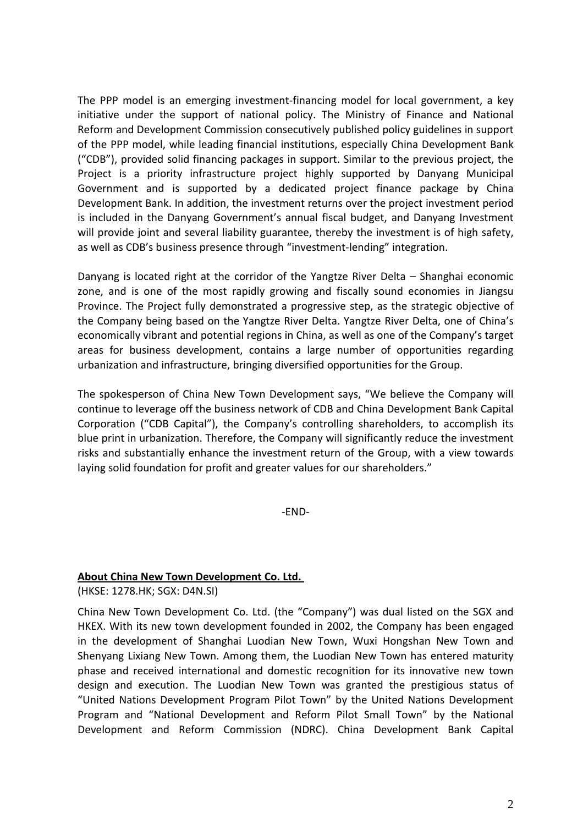The PPP model is an emerging investment-financing model for local government, a key initiative under the support of national policy. The Ministry of Finance and National Reform and Development Commission consecutively published policy guidelines in support of the PPP model, while leading financial institutions, especially China Development Bank ("CDB"), provided solid financing packages in support. Similar to the previous project, the Project is a priority infrastructure project highly supported by Danyang Municipal Government and is supported by a dedicated project finance package by China Development Bank. In addition, the investment returns over the project investment period is included in the Danyang Government's annual fiscal budget, and Danyang Investment will provide joint and several liability guarantee, thereby the investment is of high safety, as well as CDB's business presence through "investment-lending" integration.

Danyang is located right at the corridor of the Yangtze River Delta – Shanghai economic zone, and is one of the most rapidly growing and fiscally sound economies in Jiangsu Province. The Project fully demonstrated a progressive step, as the strategic objective of the Company being based on the Yangtze River Delta. Yangtze River Delta, one of China's economically vibrant and potential regions in China, as well as one of the Company's target areas for business development, contains a large number of opportunities regarding urbanization and infrastructure, bringing diversified opportunities for the Group.

The spokesperson of China New Town Development says, "We believe the Company will continue to leverage off the business network of CDB and China Development Bank Capital Corporation ("CDB Capital"), the Company's controlling shareholders, to accomplish its blue print in urbanization. Therefore, the Company will significantly reduce the investment risks and substantially enhance the investment return of the Group, with a view towards laying solid foundation for profit and greater values for our shareholders."

-END-

## **About China New Town Development Co. Ltd.**

(HKSE: 1278.HK; SGX: D4N.SI)

China New Town Development Co. Ltd. (the "Company") was dual listed on the SGX and HKEX. With its new town development founded in 2002, the Company has been engaged in the development of Shanghai Luodian New Town, Wuxi Hongshan New Town and Shenyang Lixiang New Town. Among them, the Luodian New Town has entered maturity phase and received international and domestic recognition for its innovative new town design and execution. The Luodian New Town was granted the prestigious status of "United Nations Development Program Pilot Town" by the United Nations Development Program and "National Development and Reform Pilot Small Town" by the National Development and Reform Commission (NDRC). China Development Bank Capital